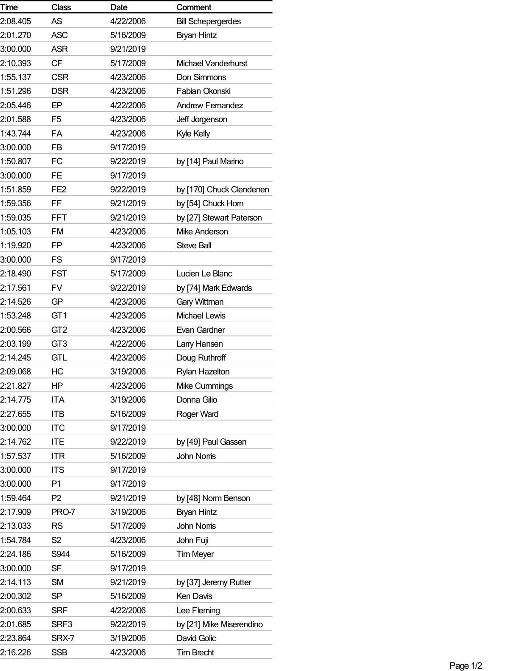| Time     | <b>Class</b>    | Date      | Comment                   |
|----------|-----------------|-----------|---------------------------|
| 2:08.405 | <b>AS</b>       | 4/22/2006 | <b>Bill Schepergerdes</b> |
| 2:01.270 | <b>ASC</b>      | 5/16/2009 | <b>Bryan Hintz</b>        |
| 3:00.000 | ASR             | 9/21/2019 |                           |
| 2:10.393 | <b>CF</b>       | 5/17/2009 | Michael Vanderhurst       |
| 1:55.137 | <b>CSR</b>      | 4/23/2006 | Don Simmons               |
| 1:51.296 | <b>DSR</b>      | 4/23/2006 | Fabian Okonski            |
| 2:05.446 | EP              | 4/22/2006 | <b>Andrew Femandez</b>    |
| 2:01.588 | F <sub>5</sub>  | 4/23/2006 | Jeff Jorgenson            |
| 1:43.744 | FA              | 4/23/2006 | Kyle Kelly                |
| 3:00.000 | <b>FB</b>       | 9/17/2019 |                           |
| 1:50.807 | FC              | 9/22/2019 | by [14] Paul Marino       |
| 3:00.000 | <b>FE</b>       | 9/17/2019 |                           |
| 1:51.859 | FE <sub>2</sub> | 9/22/2019 | by [170] Chuck Clendenen  |
| 1:59.356 | FF              | 9/21/2019 | by [54] Chuck Hom         |
| 1:59.035 | <b>FFT</b>      | 9/21/2019 | by [27] Stewart Paterson  |
| 1:05.103 | FM              | 4/23/2006 | Mike Anderson             |
| 1:19.920 | FP              | 4/23/2006 | <b>Steve Ball</b>         |
| 3:00.000 | <b>FS</b>       | 9/17/2019 |                           |
| 2:18.490 | <b>FST</b>      | 5/17/2009 | Lucien Le Blanc           |
| 2:17.561 | <b>FV</b>       | 9/22/2019 | by [74] Mark Edwards      |
| 2:14.526 | GP              | 4/23/2006 | Gary Wittman              |
| 1:53.248 | GT <sub>1</sub> | 4/23/2006 | Michael Lewis             |
| 2:00.566 | GT <sub>2</sub> | 4/23/2006 | Evan Gardner              |
| 2:03.199 | GT <sub>3</sub> | 4/22/2006 | Lany Hansen               |
| 2:14.245 | <b>GTL</b>      | 4/23/2006 | Doug Ruthroff             |
| 2:09.068 | HС              | 3/19/2006 | Rylan Hazelton            |
| 2:21.827 | HP              | 4/23/2006 | Mike Cummings             |
| 2:14.775 | <b>ITA</b>      | 3/19/2006 | Donna Gilio               |
| 2:27.655 | <b>ITB</b>      | 5/16/2009 | Roger Ward                |
| 3:00.000 | <b>ITC</b>      | 9/17/2019 |                           |
| 2:14.762 | <b>ITE</b>      | 9/22/2019 | by [49] Paul Gassen       |
| 1:57.537 | <b>ITR</b>      | 5/16/2009 | <b>John Noms</b>          |
| 3:00.000 | <b>ITS</b>      | 9/17/2019 |                           |
| 3:00.000 | P1              | 9/17/2019 |                           |
| 1:59.464 | P <sub>2</sub>  | 9/21/2019 | by [48] Norm Benson       |
| 2:17.909 | PRO-7           | 3/19/2006 | <b>Bryan Hintz</b>        |
| 2:13.033 | <b>RS</b>       | 5/17/2009 | <b>John Noms</b>          |
| 1:54.784 | S <sub>2</sub>  | 4/23/2006 | John Fuji                 |
| 2:24.186 | S944            | 5/16/2009 | <b>Tim Meyer</b>          |
| 3:00.000 | <b>SF</b>       | 9/17/2019 |                           |
| 2:14.113 | <b>SM</b>       | 9/21/2019 | by [37] Jeremy Rutter     |
| 2:00.302 | <b>SP</b>       | 5/16/2009 | Ken Davis                 |
| 2:00.633 | <b>SRF</b>      | 4/22/2006 | Lee Fleming               |
| 2:01.685 | SRF3            | 9/22/2019 | by [21] Mike Miserendino  |
| 2:23.864 | SRX-7           | 3/19/2006 | David Golic               |
| 2:16.226 | <b>SSB</b>      | 4/23/2006 | <b>Tim Brecht</b>         |